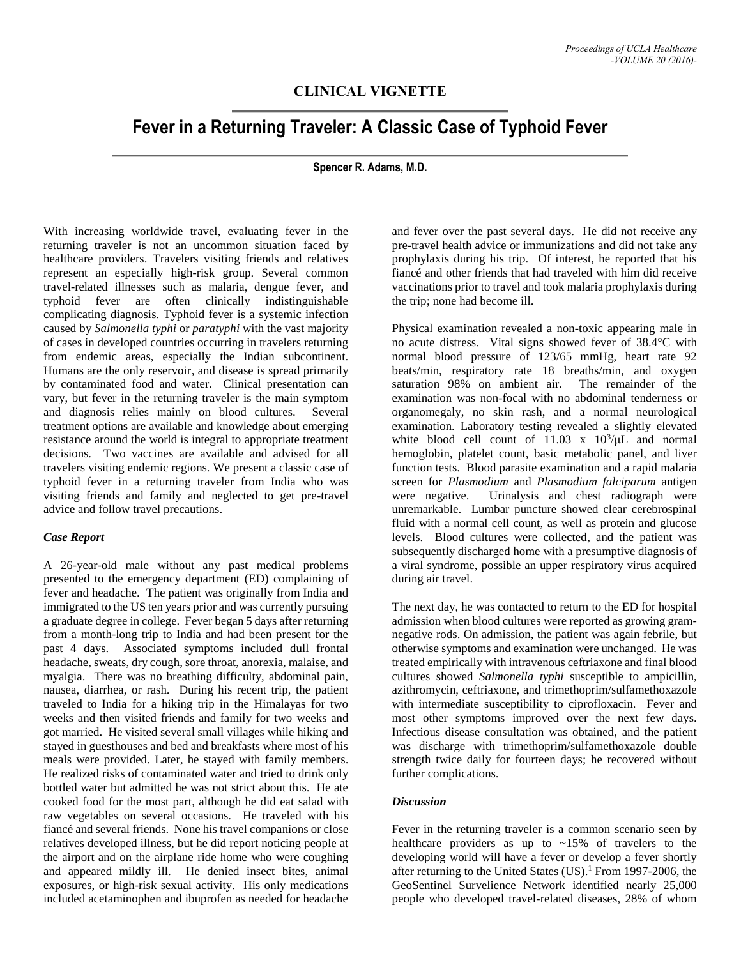## **CLINICAL VIGNETTE**

# **Fever in a Returning Traveler: A Classic Case of Typhoid Fever**

#### **Spencer R. Adams, M.D.**

With increasing worldwide travel, evaluating fever in the returning traveler is not an uncommon situation faced by healthcare providers. Travelers visiting friends and relatives represent an especially high-risk group. Several common travel-related illnesses such as malaria, dengue fever, and typhoid fever are often clinically indistinguishable complicating diagnosis. Typhoid fever is a systemic infection caused by *Salmonella typhi* or *paratyphi* with the vast majority of cases in developed countries occurring in travelers returning from endemic areas, especially the Indian subcontinent. Humans are the only reservoir, and disease is spread primarily by contaminated food and water. Clinical presentation can vary, but fever in the returning traveler is the main symptom and diagnosis relies mainly on blood cultures. Several treatment options are available and knowledge about emerging resistance around the world is integral to appropriate treatment decisions. Two vaccines are available and advised for all travelers visiting endemic regions. We present a classic case of typhoid fever in a returning traveler from India who was visiting friends and family and neglected to get pre-travel advice and follow travel precautions.

#### *Case Report*

A 26-year-old male without any past medical problems presented to the emergency department (ED) complaining of fever and headache. The patient was originally from India and immigrated to the US ten years prior and was currently pursuing a graduate degree in college. Fever began 5 days after returning from a month-long trip to India and had been present for the past 4 days. Associated symptoms included dull frontal headache, sweats, dry cough, sore throat, anorexia, malaise, and myalgia. There was no breathing difficulty, abdominal pain, nausea, diarrhea, or rash. During his recent trip, the patient traveled to India for a hiking trip in the Himalayas for two weeks and then visited friends and family for two weeks and got married. He visited several small villages while hiking and stayed in guesthouses and bed and breakfasts where most of his meals were provided. Later, he stayed with family members. He realized risks of contaminated water and tried to drink only bottled water but admitted he was not strict about this. He ate cooked food for the most part, although he did eat salad with raw vegetables on several occasions. He traveled with his fiancé and several friends. None his travel companions or close relatives developed illness, but he did report noticing people at the airport and on the airplane ride home who were coughing and appeared mildly ill. He denied insect bites, animal exposures, or high-risk sexual activity. His only medications included acetaminophen and ibuprofen as needed for headache

and fever over the past several days. He did not receive any pre-travel health advice or immunizations and did not take any prophylaxis during his trip. Of interest, he reported that his fiancé and other friends that had traveled with him did receive vaccinations prior to travel and took malaria prophylaxis during the trip; none had become ill.

Physical examination revealed a non-toxic appearing male in no acute distress. Vital signs showed fever of 38.4°C with normal blood pressure of 123/65 mmHg, heart rate 92 beats/min, respiratory rate 18 breaths/min, and oxygen saturation 98% on ambient air. The remainder of the examination was non-focal with no abdominal tenderness or organomegaly, no skin rash, and a normal neurological examination. Laboratory testing revealed a slightly elevated white blood cell count of  $11.03 \times 10^3/\mu$  and normal hemoglobin, platelet count, basic metabolic panel, and liver function tests. Blood parasite examination and a rapid malaria screen for *Plasmodium* and *Plasmodium falciparum* antigen were negative. Urinalysis and chest radiograph were unremarkable. Lumbar puncture showed clear cerebrospinal fluid with a normal cell count, as well as protein and glucose levels. Blood cultures were collected, and the patient was subsequently discharged home with a presumptive diagnosis of a viral syndrome, possible an upper respiratory virus acquired during air travel.

The next day, he was contacted to return to the ED for hospital admission when blood cultures were reported as growing gramnegative rods. On admission, the patient was again febrile, but otherwise symptoms and examination were unchanged. He was treated empirically with intravenous ceftriaxone and final blood cultures showed *Salmonella typhi* susceptible to ampicillin, azithromycin, ceftriaxone, and trimethoprim/sulfamethoxazole with intermediate susceptibility to ciprofloxacin. Fever and most other symptoms improved over the next few days. Infectious disease consultation was obtained, and the patient was discharge with trimethoprim/sulfamethoxazole double strength twice daily for fourteen days; he recovered without further complications.

#### *Discussion*

Fever in the returning traveler is a common scenario seen by healthcare providers as up to ~15% of travelers to the developing world will have a fever or develop a fever shortly after returning to the United States (US). <sup>1</sup> From 1997-2006, the GeoSentinel Survelience Network identified nearly 25,000 people who developed travel-related diseases, 28% of whom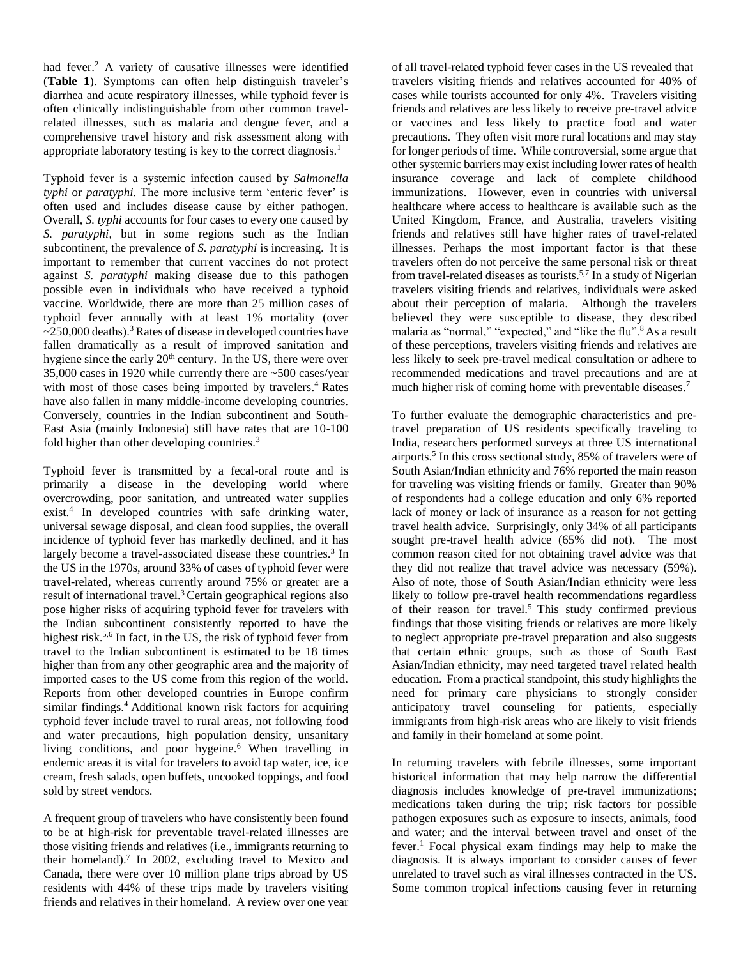had fever.<sup>2</sup> A variety of causative illnesses were identified (**Table 1**). Symptoms can often help distinguish traveler's diarrhea and acute respiratory illnesses, while typhoid fever is often clinically indistinguishable from other common travelrelated illnesses, such as malaria and dengue fever, and a comprehensive travel history and risk assessment along with appropriate laboratory testing is key to the correct diagnosis.<sup>1</sup>

Typhoid fever is a systemic infection caused by *Salmonella typhi* or *paratyphi.* The more inclusive term 'enteric fever' is often used and includes disease cause by either pathogen. Overall, *S. typhi* accounts for four cases to every one caused by *S. paratyphi*, but in some regions such as the Indian subcontinent, the prevalence of *S. paratyphi* is increasing. It is important to remember that current vaccines do not protect against *S. paratyphi* making disease due to this pathogen possible even in individuals who have received a typhoid vaccine. Worldwide, there are more than 25 million cases of typhoid fever annually with at least 1% mortality (over  $\sim$ 250,000 deaths).<sup>3</sup> Rates of disease in developed countries have fallen dramatically as a result of improved sanitation and hygiene since the early 20<sup>th</sup> century. In the US, there were over 35,000 cases in 1920 while currently there are ~500 cases/year with most of those cases being imported by travelers.<sup>4</sup> Rates have also fallen in many middle-income developing countries. Conversely, countries in the Indian subcontinent and South-East Asia (mainly Indonesia) still have rates that are 10-100 fold higher than other developing countries.<sup>3</sup>

Typhoid fever is transmitted by a fecal-oral route and is primarily a disease in the developing world where overcrowding, poor sanitation, and untreated water supplies exist.<sup>4</sup> In developed countries with safe drinking water, universal sewage disposal, and clean food supplies, the overall incidence of typhoid fever has markedly declined, and it has largely become a travel-associated disease these countries.<sup>3</sup> In the US in the 1970s, around 33% of cases of typhoid fever were travel-related, whereas currently around 75% or greater are a result of international travel. <sup>3</sup>Certain geographical regions also pose higher risks of acquiring typhoid fever for travelers with the Indian subcontinent consistently reported to have the highest risk.<sup>5,6</sup> In fact, in the US, the risk of typhoid fever from travel to the Indian subcontinent is estimated to be 18 times higher than from any other geographic area and the majority of imported cases to the US come from this region of the world. Reports from other developed countries in Europe confirm similar findings.<sup>4</sup> Additional known risk factors for acquiring typhoid fever include travel to rural areas, not following food and water precautions, high population density, unsanitary living conditions, and poor hygeine. <sup>6</sup> When travelling in endemic areas it is vital for travelers to avoid tap water, ice, ice cream, fresh salads, open buffets, uncooked toppings, and food sold by street vendors.

A frequent group of travelers who have consistently been found to be at high-risk for preventable travel-related illnesses are those visiting friends and relatives (i.e., immigrants returning to their homeland).<sup>7</sup> In 2002, excluding travel to Mexico and Canada, there were over 10 million plane trips abroad by US residents with 44% of these trips made by travelers visiting friends and relatives in their homeland. A review over one year

of all travel-related typhoid fever cases in the US revealed that travelers visiting friends and relatives accounted for 40% of cases while tourists accounted for only 4%. Travelers visiting friends and relatives are less likely to receive pre-travel advice or vaccines and less likely to practice food and water precautions. They often visit more rural locations and may stay for longer periods of time. While controversial, some argue that other systemic barriers may exist including lower rates of health insurance coverage and lack of complete childhood immunizations. However, even in countries with universal healthcare where access to healthcare is available such as the United Kingdom, France, and Australia, travelers visiting friends and relatives still have higher rates of travel-related illnesses. Perhaps the most important factor is that these travelers often do not perceive the same personal risk or threat from travel-related diseases as tourists. 5,7 In a study of Nigerian travelers visiting friends and relatives, individuals were asked about their perception of malaria. Although the travelers believed they were susceptible to disease, they described malaria as "normal," "expected," and "like the flu".<sup>8</sup> As a result of these perceptions, travelers visiting friends and relatives are less likely to seek pre-travel medical consultation or adhere to recommended medications and travel precautions and are at much higher risk of coming home with preventable diseases.<sup>7</sup>

To further evaluate the demographic characteristics and pretravel preparation of US residents specifically traveling to India, researchers performed surveys at three US international airports. 5 In this cross sectional study, 85% of travelers were of South Asian/Indian ethnicity and 76% reported the main reason for traveling was visiting friends or family. Greater than 90% of respondents had a college education and only 6% reported lack of money or lack of insurance as a reason for not getting travel health advice. Surprisingly, only 34% of all participants sought pre-travel health advice (65% did not). The most common reason cited for not obtaining travel advice was that they did not realize that travel advice was necessary (59%). Also of note, those of South Asian/Indian ethnicity were less likely to follow pre-travel health recommendations regardless of their reason for travel.<sup>5</sup> This study confirmed previous findings that those visiting friends or relatives are more likely to neglect appropriate pre-travel preparation and also suggests that certain ethnic groups, such as those of South East Asian/Indian ethnicity, may need targeted travel related health education. From a practical standpoint, this study highlights the need for primary care physicians to strongly consider anticipatory travel counseling for patients, especially immigrants from high-risk areas who are likely to visit friends and family in their homeland at some point.

In returning travelers with febrile illnesses, some important historical information that may help narrow the differential diagnosis includes knowledge of pre-travel immunizations; medications taken during the trip; risk factors for possible pathogen exposures such as exposure to insects, animals, food and water; and the interval between travel and onset of the fever.<sup>1</sup> Focal physical exam findings may help to make the diagnosis. It is always important to consider causes of fever unrelated to travel such as viral illnesses contracted in the US. Some common tropical infections causing fever in returning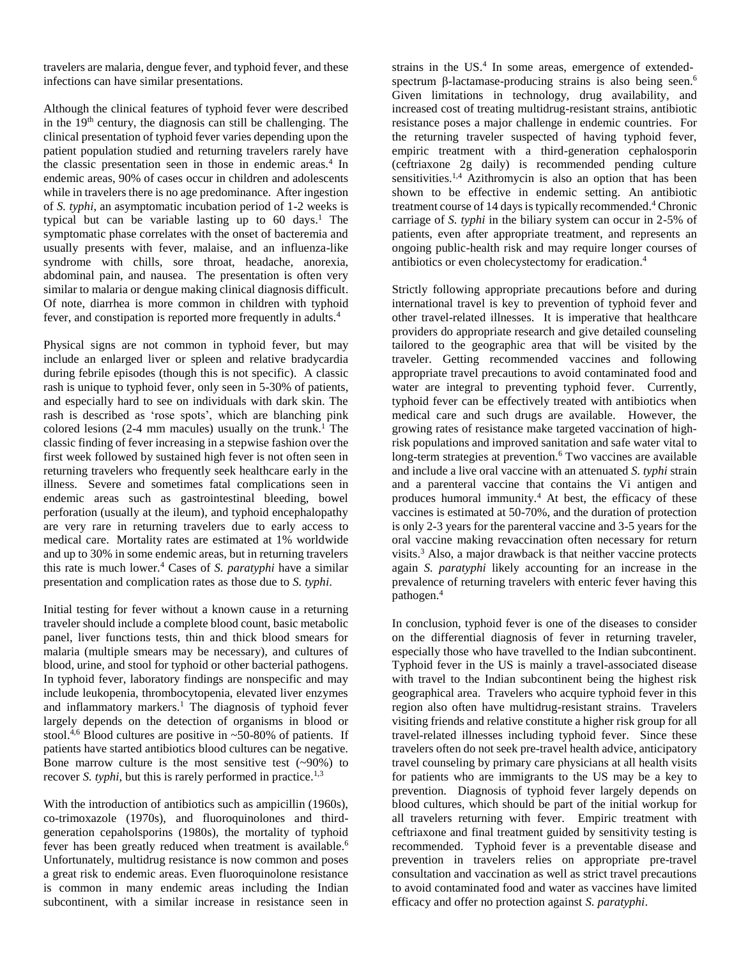travelers are malaria, dengue fever, and typhoid fever, and these infections can have similar presentations.

Although the clinical features of typhoid fever were described in the 19th century, the diagnosis can still be challenging. The clinical presentation of typhoid fever varies depending upon the patient population studied and returning travelers rarely have the classic presentation seen in those in endemic areas.<sup>4</sup> In endemic areas, 90% of cases occur in children and adolescents while in travelers there is no age predominance. After ingestion of *S. typhi*, an asymptomatic incubation period of 1-2 weeks is typical but can be variable lasting up to 60 days. <sup>1</sup> The symptomatic phase correlates with the onset of bacteremia and usually presents with fever, malaise, and an influenza-like syndrome with chills, sore throat, headache, anorexia, abdominal pain, and nausea. The presentation is often very similar to malaria or dengue making clinical diagnosis difficult. Of note, diarrhea is more common in children with typhoid fever, and constipation is reported more frequently in adults.<sup>4</sup>

Physical signs are not common in typhoid fever, but may include an enlarged liver or spleen and relative bradycardia during febrile episodes (though this is not specific). A classic rash is unique to typhoid fever, only seen in 5-30% of patients, and especially hard to see on individuals with dark skin. The rash is described as 'rose spots', which are blanching pink colored lesions (2-4 mm macules) usually on the trunk. <sup>1</sup> The classic finding of fever increasing in a stepwise fashion over the first week followed by sustained high fever is not often seen in returning travelers who frequently seek healthcare early in the illness. Severe and sometimes fatal complications seen in endemic areas such as gastrointestinal bleeding, bowel perforation (usually at the ileum), and typhoid encephalopathy are very rare in returning travelers due to early access to medical care. Mortality rates are estimated at 1% worldwide and up to 30% in some endemic areas, but in returning travelers this rate is much lower.<sup>4</sup> Cases of *S. paratyphi* have a similar presentation and complication rates as those due to *S. typhi*.

Initial testing for fever without a known cause in a returning traveler should include a complete blood count, basic metabolic panel, liver functions tests, thin and thick blood smears for malaria (multiple smears may be necessary), and cultures of blood, urine, and stool for typhoid or other bacterial pathogens. In typhoid fever, laboratory findings are nonspecific and may include leukopenia, thrombocytopenia, elevated liver enzymes and inflammatory markers.<sup>1</sup> The diagnosis of typhoid fever largely depends on the detection of organisms in blood or stool.<sup>4,6</sup> Blood cultures are positive in  $\sim$  50-80% of patients. If patients have started antibiotics blood cultures can be negative. Bone marrow culture is the most sensitive test  $(-90\%)$  to recover *S. typhi*, but this is rarely performed in practice.<sup>1,3</sup>

With the introduction of antibiotics such as ampicillin (1960s), co-trimoxazole (1970s), and fluoroquinolones and thirdgeneration cepaholsporins (1980s), the mortality of typhoid fever has been greatly reduced when treatment is available.<sup>6</sup> Unfortunately, multidrug resistance is now common and poses a great risk to endemic areas. Even fluoroquinolone resistance is common in many endemic areas including the Indian subcontinent, with a similar increase in resistance seen in

strains in the US. 4 In some areas, emergence of extendedspectrum β-lactamase-producing strains is also being seen.<sup>6</sup> Given limitations in technology, drug availability, and increased cost of treating multidrug-resistant strains, antibiotic resistance poses a major challenge in endemic countries. For the returning traveler suspected of having typhoid fever, empiric treatment with a third-generation cephalosporin (ceftriaxone 2g daily) is recommended pending culture sensitivities.<sup>1,4</sup> Azithromycin is also an option that has been shown to be effective in endemic setting. An antibiotic treatment course of 14 days is typically recommended. <sup>4</sup> Chronic carriage of *S. typhi* in the biliary system can occur in 2-5% of patients, even after appropriate treatment, and represents an ongoing public-health risk and may require longer courses of antibiotics or even cholecystectomy for eradication. 4

Strictly following appropriate precautions before and during international travel is key to prevention of typhoid fever and other travel-related illnesses. It is imperative that healthcare providers do appropriate research and give detailed counseling tailored to the geographic area that will be visited by the traveler. Getting recommended vaccines and following appropriate travel precautions to avoid contaminated food and water are integral to preventing typhoid fever. Currently, typhoid fever can be effectively treated with antibiotics when medical care and such drugs are available. However, the growing rates of resistance make targeted vaccination of highrisk populations and improved sanitation and safe water vital to long-term strategies at prevention. <sup>6</sup> Two vaccines are available and include a live oral vaccine with an attenuated *S. typhi* strain and a parenteral vaccine that contains the Vi antigen and produces humoral immunity.<sup>4</sup> At best, the efficacy of these vaccines is estimated at 50-70%, and the duration of protection is only 2-3 years for the parenteral vaccine and 3-5 years for the oral vaccine making revaccination often necessary for return visits. <sup>3</sup> Also, a major drawback is that neither vaccine protects again *S. paratyphi* likely accounting for an increase in the prevalence of returning travelers with enteric fever having this pathogen. 4

In conclusion, typhoid fever is one of the diseases to consider on the differential diagnosis of fever in returning traveler, especially those who have travelled to the Indian subcontinent. Typhoid fever in the US is mainly a travel-associated disease with travel to the Indian subcontinent being the highest risk geographical area. Travelers who acquire typhoid fever in this region also often have multidrug-resistant strains. Travelers visiting friends and relative constitute a higher risk group for all travel-related illnesses including typhoid fever. Since these travelers often do not seek pre-travel health advice, anticipatory travel counseling by primary care physicians at all health visits for patients who are immigrants to the US may be a key to prevention. Diagnosis of typhoid fever largely depends on blood cultures, which should be part of the initial workup for all travelers returning with fever. Empiric treatment with ceftriaxone and final treatment guided by sensitivity testing is recommended. Typhoid fever is a preventable disease and prevention in travelers relies on appropriate pre-travel consultation and vaccination as well as strict travel precautions to avoid contaminated food and water as vaccines have limited efficacy and offer no protection against *S. paratyphi*.